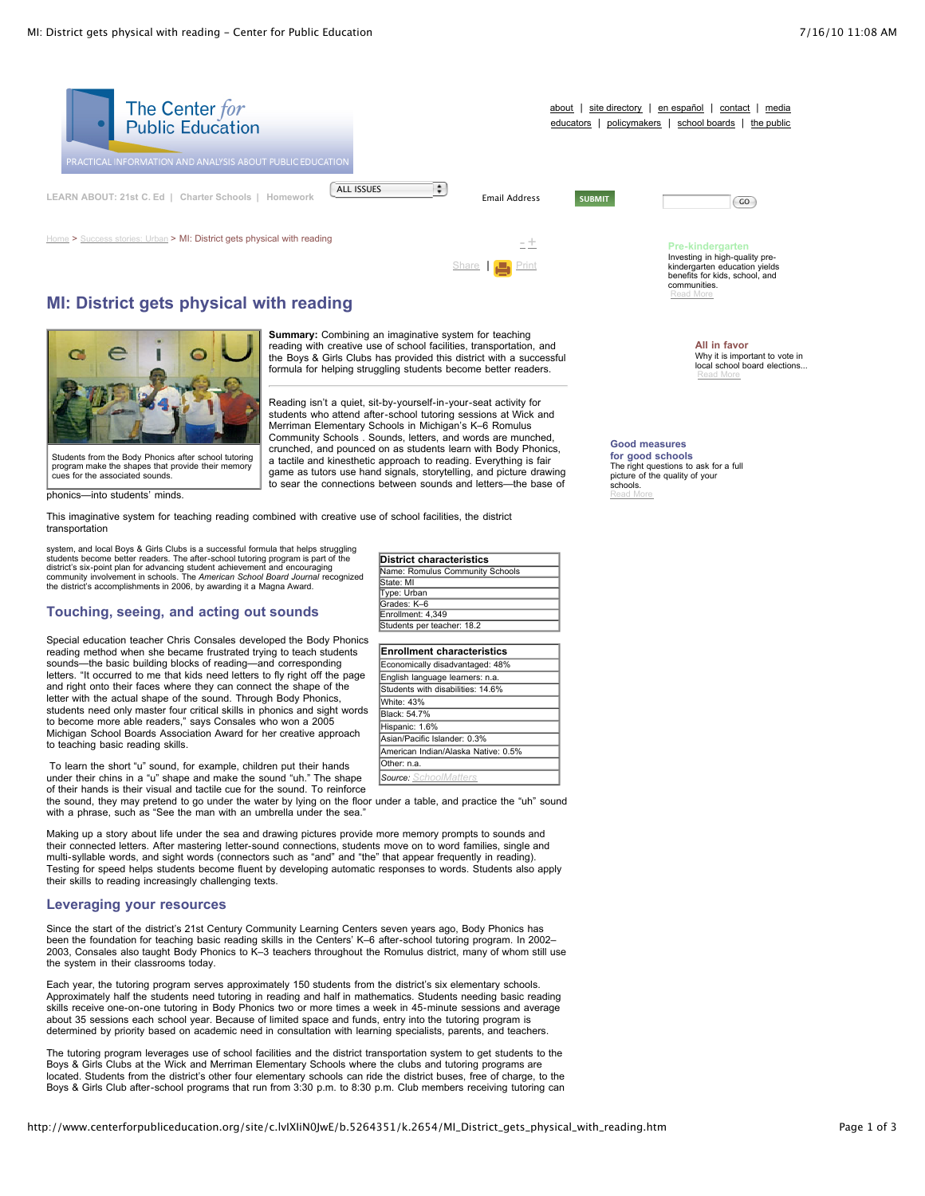

# **MI: District gets physical with reading**



**Summary:** Combining an imaginative system for teaching reading with creative use of school facilities, transportation, and the Boys & Girls Clubs has provided this district with a successful formula for helping struggling students become better readers.

Reading isn't a quiet, sit-by-yourself-in-your-seat activity for students who attend after-school tutoring sessions at Wick and Merriman Elementary Schools in Michigan's K–6 Romulus Community Schools . Sounds, letters, and words are munched, crunched, and pounced on as students learn with Body Phonics, a tactile and kinesthetic approach to reading. Everything is fair game as tutors use hand signals, storytelling, and picture drawing to sear the connections between sounds and letters—the base of

> **Enrollment characteristics** Economically disadvantaged: 48% English language learners: n.a. Students with disabilities: 14.6%

**District characteristics** Name: Romulus Community Schools

White: 43% **Black: 54.7%** Hispanic: 1.6% Asian/Pacific Islander: 0.3% American Indian/Alaska Native: 0.5%

State: MI Type: Urban Grades: K–6 Enrollment: 4,349 Students per teacher: 18.2

Other: n.a. *Source: [SchoolMatters](http://www.schoolmatters.com/app/location/q/stid=23/llid=116/stllid=207/locid=982330/catid=-1/secid=-1/compid=771/site=pes)*

program make the shapes that provide their memory cues for the associated sounds.

phonics—into students' minds.

This imaginative system for teaching reading combined with creative use of school facilities, the district transportation

system, and local Boys & Girls Clubs is a successful formula that helps struggling<br>students become better readers. The after-school tutoring program is part of the<br>district's six-point plan for advancing student achievemen

## **Touching, seeing, and acting out sounds**

Special education teacher Chris Consales developed the Body Phonics reading method when she became frustrated trying to teach students sounds—the basic building blocks of reading—and corresponding letters. "It occurred to me that kids need letters to fly right off the page and right onto their faces where they can connect the shape of the letter with the actual shape of the sound. Through Body Phonics, students need only master four critical skills in phonics and sight words to become more able readers," says Consales who won a 2005 Michigan School Boards Association Award for her creative approach to teaching basic reading skills.

To learn the short "u" sound, for example, children put their hands under their chins in a "u" shape and make the sound "uh." The shape of their hands is their visual and tactile cue for the sound. To reinforce

the sound, they may pretend to go under the water by lying on the floor under a table, and practice the "uh" sound with a phrase, such as "See the man with an umbrella under the sea.

Making up a story about life under the sea and drawing pictures provide more memory prompts to sounds and their connected letters. After mastering letter-sound connections, students move on to word families, single and multi-syllable words, and sight words (connectors such as "and" and "the" that appear frequently in reading). Testing for speed helps students become fluent by developing automatic responses to words. Students also apply their skills to reading increasingly challenging texts.

#### **Leveraging your resources**

Since the start of the district's 21st Century Community Learning Centers seven years ago, Body Phonics has been the foundation for teaching basic reading skills in the Centers' K–6 after-school tutoring program. In 2002– 2003, Consales also taught Body Phonics to K–3 teachers throughout the Romulus district, many of whom still use the system in their classrooms today.

Each year, the tutoring program serves approximately 150 students from the district's six elementary schools. Approximately half the students need tutoring in reading and half in mathematics. Students needing basic reading skills receive one-on-one tutoring in Body Phonics two or more times a week in 45-minute sessions and average about 35 sessions each school year. Because of limited space and funds, entry into the tutoring program is determined by priority based on academic need in consultation with learning specialists, parents, and teachers.

The tutoring program leverages use of school facilities and the district transportation system to get students to the Boys & Girls Clubs at the Wick and Merriman Elementary Schools where the clubs and tutoring programs are located. Students from the district's other four elementary schools can ride the district buses, free of charge, to the Boys & Girls Club after-school programs that run from 3:30 p.m. to 8:30 p.m. Club members receiving tutoring can

**Good measures for good schools** The right questions to ask for a full picture of the quality of your schools. [Read](http://www.centerforpubliceducation.org/site/lookup.asp?c=lvIXIiN0JwE&b=5137869) More

**All in favor**

[Read](http://www.centerforpubliceducation.org/site/lookup.asp?c=lvIXIiN0JwE&b=5137871) More

Why it is important to vote in local school board elections...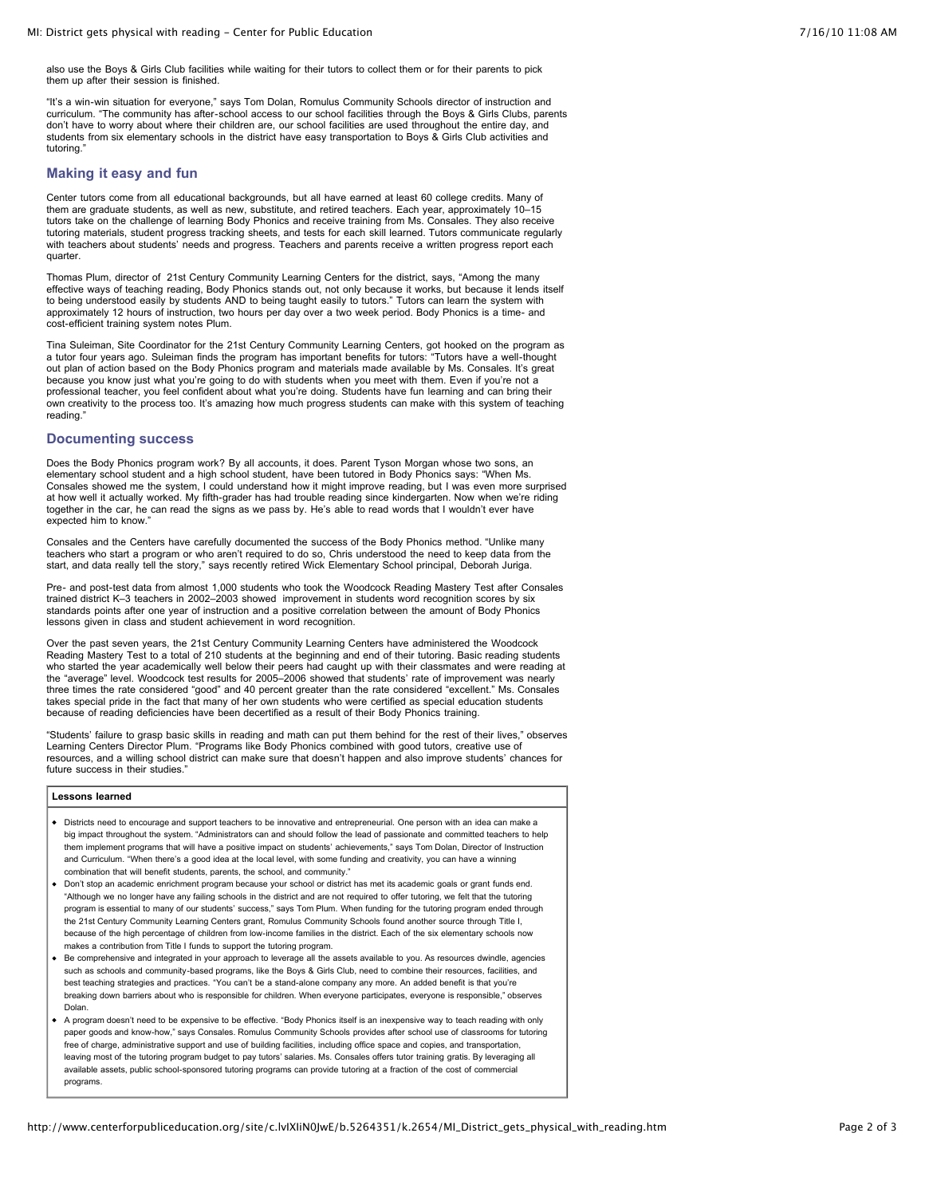also use the Boys & Girls Club facilities while waiting for their tutors to collect them or for their parents to pick them up after their session is finished.

"It's a win-win situation for everyone," says Tom Dolan, Romulus Community Schools director of instruction and curriculum. "The community has after-school access to our school facilities through the Boys & Girls Clubs, parents don't have to worry about where their children are, our school facilities are used throughout the entire day, and students from six elementary schools in the district have easy transportation to Boys & Girls Club activities and tutoring.

#### **Making it easy and fun**

Center tutors come from all educational backgrounds, but all have earned at least 60 college credits. Many of them are graduate students, as well as new, substitute, and retired teachers. Each year, approximately 10–15 tutors take on the challenge of learning Body Phonics and receive training from Ms. Consales. They also receive tutoring materials, student progress tracking sheets, and tests for each skill learned. Tutors communicate regularly<br>with teachers about students' needs and progress. Teachers and parents receive a written progress report quarter.

Thomas Plum, director of 21st Century Community Learning Centers for the district, says, "Among the many effective ways of teaching reading, Body Phonics stands out, not only because it works, but because it lends itself to being understood easily by students AND to being taught easily to tutors." Tutors can learn the system with approximately 12 hours of instruction, two hours per day over a two week period. Body Phonics is a time- and cost-efficient training system notes Plum.

Tina Suleiman, Site Coordinator for the 21st Century Community Learning Centers, got hooked on the program as a tutor four years ago. Suleiman finds the program has important benefits for tutors: "Tutors have a well-thought out plan of action based on the Body Phonics program and materials made available by Ms. Consales. It's great because you know just what you're going to do with students when you meet with them. Even if you're not a professional teacher, you feel confident about what you're doing. Students have fun learning and can bring their own creativity to the process too. It's amazing how much progress students can make with this system of teaching reading."

#### **Documenting success**

Does the Body Phonics program work? By all accounts, it does. Parent Tyson Morgan whose two sons, an elementary school student and a high school student, have been tutored in Body Phonics says: "When Ms. Consales showed me the system, I could understand how it might improve reading, but I was even more surprised at how well it actually worked. My fifth-grader has had trouble reading since kindergarten. Now when we're riding together in the car, he can read the signs as we pass by. He's able to read words that I wouldn't ever have expected him to know."

Consales and the Centers have carefully documented the success of the Body Phonics method. "Unlike many teachers who start a program or who aren't required to do so, Chris understood the need to keep data from the start, and data really tell the story," says recently retired Wick Elementary School principal, Deborah Juriga.

Pre- and post-test data from almost 1,000 students who took the Woodcock Reading Mastery Test after Consales trained district K–3 teachers in 2002–2003 showed improvement in students word recognition scores by six standards points after one year of instruction and a positive correlation between the amount of Body Phonics lessons given in class and student achievement in word recognition.

Over the past seven years, the 21st Century Community Learning Centers have administered the Woodcock Reading Mastery Test to a total of 210 students at the beginning and end of their tutoring. Basic reading students who started the year academically well below their peers had caught up with their classmates and were reading at the "average" level. Woodcock test results for 2005–2006 showed that students' rate of improvement was nearly three times the rate considered "good" and 40 percent greater than the rate considered "excellent." Ms. Consales takes special pride in the fact that many of her own students who were certified as special education students because of reading deficiencies have been decertified as a result of their Body Phonics training.

"Students' failure to grasp basic skills in reading and math can put them behind for the rest of their lives," observes Learning Centers Director Plum. "Programs like Body Phonics combined with good tutors, creative use of resources, and a willing school district can make sure that doesn't happen and also improve students' chances for future success in their studies."

#### **Lessons learned**

- Districts need to encourage and support teachers to be innovative and entrepreneurial. One person with an idea can make a big impact throughout the system. "Administrators can and should follow the lead of passionate and committed teachers to help them implement programs that will have a positive impact on students' achievements," says Tom Dolan, Director of Instruction and Curriculum. "When there's a good idea at the local level, with some funding and creativity, you can have a winning combination that will benefit students, parents, the school, and community."
- Don't stop an academic enrichment program because your school or district has met its academic goals or grant funds end. "Although we no longer have any failing schools in the district and are not required to offer tutoring, we felt that the tutoring program is essential to many of our students' success," says Tom Plum. When funding for the tutoring program ended through the 21st Century Community Learning Centers grant, Romulus Community Schools found another source through Title I, because of the high percentage of children from low-income families in the district. Each of the six elementary schools now makes a contribution from Title I funds to support the tutoring program.
- Be comprehensive and integrated in your approach to leverage all the assets available to you. As resources dwindle, agencies such as schools and community-based programs, like the Boys & Girls Club, need to combine their resources, facilities, and best teaching strategies and practices. "You can't be a stand-alone company any more. An added benefit is that you're breaking down barriers about who is responsible for children. When everyone participates, everyone is responsible," observes Dolan.
- A program doesn't need to be expensive to be effective. "Body Phonics itself is an inexpensive way to teach reading with only paper goods and know-how," says Consales. Romulus Community Schools provides after school use of classrooms for tutoring free of charge, administrative support and use of building facilities, including office space and copies, and transportation leaving most of the tutoring program budget to pay tutors' salaries. Ms. Consales offers tutor training gratis. By leveraging all available assets, public school-sponsored tutoring programs can provide tutoring at a fraction of the cost of commercial programs.